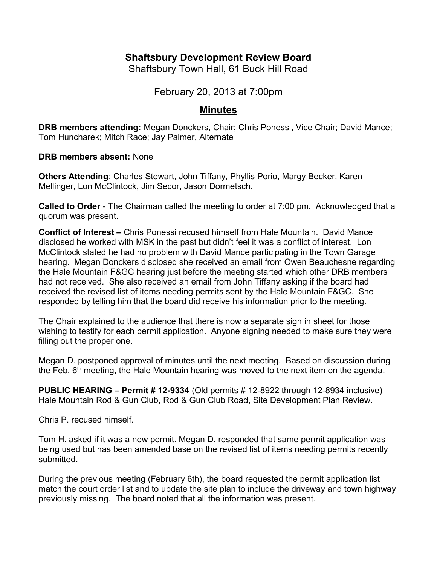# **Shaftsbury Development Review Board**

Shaftsbury Town Hall, 61 Buck Hill Road

February 20, 2013 at 7:00pm

# **Minutes**

**DRB members attending:** Megan Donckers, Chair; Chris Ponessi, Vice Chair; David Mance; Tom Huncharek; Mitch Race; Jay Palmer, Alternate

**DRB members absent:** None

**Others Attending**: Charles Stewart, John Tiffany, Phyllis Porio, Margy Becker, Karen Mellinger, Lon McClintock, Jim Secor, Jason Dormetsch.

**Called to Order** - The Chairman called the meeting to order at 7:00 pm. Acknowledged that a quorum was present.

**Conflict of Interest –** Chris Ponessi recused himself from Hale Mountain. David Mance disclosed he worked with MSK in the past but didn't feel it was a conflict of interest. Lon McClintock stated he had no problem with David Mance participating in the Town Garage hearing. Megan Donckers disclosed she received an email from Owen Beauchesne regarding the Hale Mountain F&GC hearing just before the meeting started which other DRB members had not received. She also received an email from John Tiffany asking if the board had received the revised list of items needing permits sent by the Hale Mountain F&GC. She responded by telling him that the board did receive his information prior to the meeting.

The Chair explained to the audience that there is now a separate sign in sheet for those wishing to testify for each permit application. Anyone signing needed to make sure they were filling out the proper one.

Megan D. postponed approval of minutes until the next meeting. Based on discussion during the Feb.  $6<sup>th</sup>$  meeting, the Hale Mountain hearing was moved to the next item on the agenda.

**PUBLIC HEARING – Permit # 12-9334** (Old permits # 12-8922 through 12-8934 inclusive) Hale Mountain Rod & Gun Club, Rod & Gun Club Road, Site Development Plan Review.

Chris P. recused himself.

Tom H. asked if it was a new permit. Megan D. responded that same permit application was being used but has been amended base on the revised list of items needing permits recently submitted.

During the previous meeting (February 6th), the board requested the permit application list match the court order list and to update the site plan to include the driveway and town highway previously missing. The board noted that all the information was present.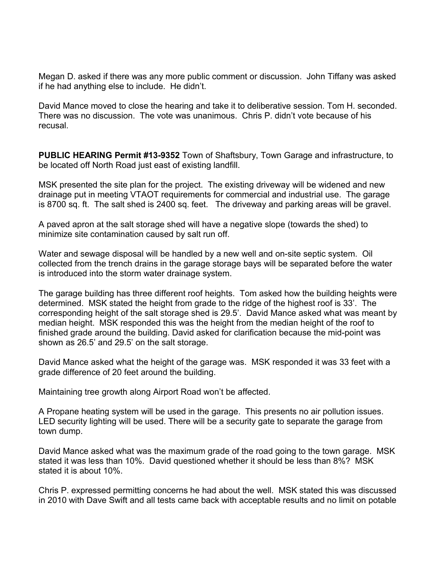Megan D. asked if there was any more public comment or discussion. John Tiffany was asked if he had anything else to include. He didn't.

David Mance moved to close the hearing and take it to deliberative session. Tom H. seconded. There was no discussion. The vote was unanimous. Chris P. didn't vote because of his recusal.

**PUBLIC HEARING Permit #13-9352** Town of Shaftsbury, Town Garage and infrastructure, to be located off North Road just east of existing landfill.

MSK presented the site plan for the project. The existing driveway will be widened and new drainage put in meeting VTAOT requirements for commercial and industrial use. The garage is 8700 sq. ft. The salt shed is 2400 sq. feet. The driveway and parking areas will be gravel.

A paved apron at the salt storage shed will have a negative slope (towards the shed) to minimize site contamination caused by salt run off.

Water and sewage disposal will be handled by a new well and on-site septic system. Oil collected from the trench drains in the garage storage bays will be separated before the water is introduced into the storm water drainage system.

The garage building has three different roof heights. Tom asked how the building heights were determined. MSK stated the height from grade to the ridge of the highest roof is 33'. The corresponding height of the salt storage shed is 29.5'. David Mance asked what was meant by median height. MSK responded this was the height from the median height of the roof to finished grade around the building. David asked for clarification because the mid-point was shown as 26.5' and 29.5' on the salt storage.

David Mance asked what the height of the garage was. MSK responded it was 33 feet with a grade difference of 20 feet around the building.

Maintaining tree growth along Airport Road won't be affected.

A Propane heating system will be used in the garage. This presents no air pollution issues. LED security lighting will be used. There will be a security gate to separate the garage from town dump.

David Mance asked what was the maximum grade of the road going to the town garage. MSK stated it was less than 10%. David questioned whether it should be less than 8%? MSK stated it is about 10%.

Chris P. expressed permitting concerns he had about the well. MSK stated this was discussed in 2010 with Dave Swift and all tests came back with acceptable results and no limit on potable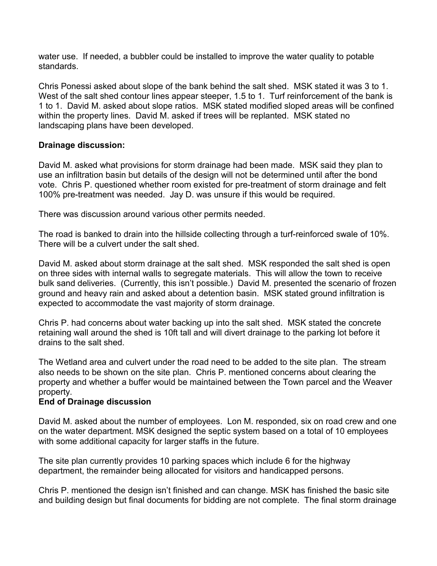water use. If needed, a bubbler could be installed to improve the water quality to potable standards.

Chris Ponessi asked about slope of the bank behind the salt shed. MSK stated it was 3 to 1. West of the salt shed contour lines appear steeper, 1.5 to 1. Turf reinforcement of the bank is 1 to 1. David M. asked about slope ratios. MSK stated modified sloped areas will be confined within the property lines. David M. asked if trees will be replanted. MSK stated no landscaping plans have been developed.

### **Drainage discussion:**

David M. asked what provisions for storm drainage had been made. MSK said they plan to use an infiltration basin but details of the design will not be determined until after the bond vote. Chris P. questioned whether room existed for pre-treatment of storm drainage and felt 100% pre-treatment was needed. Jay D. was unsure if this would be required.

There was discussion around various other permits needed.

The road is banked to drain into the hillside collecting through a turf-reinforced swale of 10%. There will be a culvert under the salt shed.

David M. asked about storm drainage at the salt shed. MSK responded the salt shed is open on three sides with internal walls to segregate materials. This will allow the town to receive bulk sand deliveries. (Currently, this isn't possible.) David M. presented the scenario of frozen ground and heavy rain and asked about a detention basin. MSK stated ground infiltration is expected to accommodate the vast majority of storm drainage.

Chris P. had concerns about water backing up into the salt shed. MSK stated the concrete retaining wall around the shed is 10ft tall and will divert drainage to the parking lot before it drains to the salt shed.

The Wetland area and culvert under the road need to be added to the site plan. The stream also needs to be shown on the site plan. Chris P. mentioned concerns about clearing the property and whether a buffer would be maintained between the Town parcel and the Weaver property.

### **End of Drainage discussion**

David M. asked about the number of employees. Lon M. responded, six on road crew and one on the water department. MSK designed the septic system based on a total of 10 employees with some additional capacity for larger staffs in the future.

The site plan currently provides 10 parking spaces which include 6 for the highway department, the remainder being allocated for visitors and handicapped persons.

Chris P. mentioned the design isn't finished and can change. MSK has finished the basic site and building design but final documents for bidding are not complete. The final storm drainage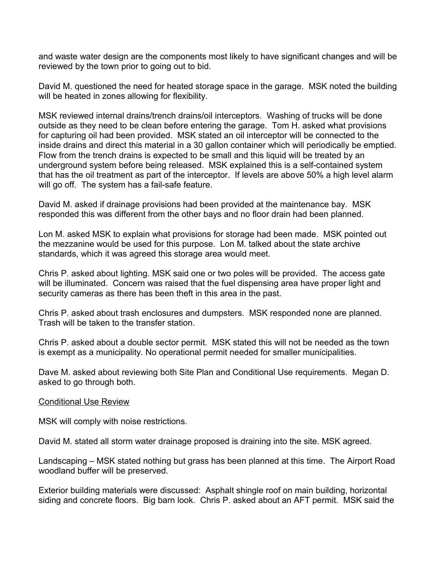and waste water design are the components most likely to have significant changes and will be reviewed by the town prior to going out to bid.

David M. questioned the need for heated storage space in the garage. MSK noted the building will be heated in zones allowing for flexibility.

MSK reviewed internal drains/trench drains/oil interceptors. Washing of trucks will be done outside as they need to be clean before entering the garage. Tom H. asked what provisions for capturing oil had been provided. MSK stated an oil interceptor will be connected to the inside drains and direct this material in a 30 gallon container which will periodically be emptied. Flow from the trench drains is expected to be small and this liquid will be treated by an underground system before being released. MSK explained this is a self-contained system that has the oil treatment as part of the interceptor. If levels are above 50% a high level alarm will go off. The system has a fail-safe feature.

David M. asked if drainage provisions had been provided at the maintenance bay. MSK responded this was different from the other bays and no floor drain had been planned.

Lon M. asked MSK to explain what provisions for storage had been made. MSK pointed out the mezzanine would be used for this purpose. Lon M. talked about the state archive standards, which it was agreed this storage area would meet.

Chris P. asked about lighting. MSK said one or two poles will be provided. The access gate will be illuminated. Concern was raised that the fuel dispensing area have proper light and security cameras as there has been theft in this area in the past.

Chris P. asked about trash enclosures and dumpsters. MSK responded none are planned. Trash will be taken to the transfer station.

Chris P. asked about a double sector permit. MSK stated this will not be needed as the town is exempt as a municipality. No operational permit needed for smaller municipalities.

Dave M. asked about reviewing both Site Plan and Conditional Use requirements. Megan D. asked to go through both.

#### Conditional Use Review

MSK will comply with noise restrictions.

David M. stated all storm water drainage proposed is draining into the site. MSK agreed.

Landscaping – MSK stated nothing but grass has been planned at this time. The Airport Road woodland buffer will be preserved.

Exterior building materials were discussed: Asphalt shingle roof on main building, horizontal siding and concrete floors. Big barn look. Chris P. asked about an AFT permit. MSK said the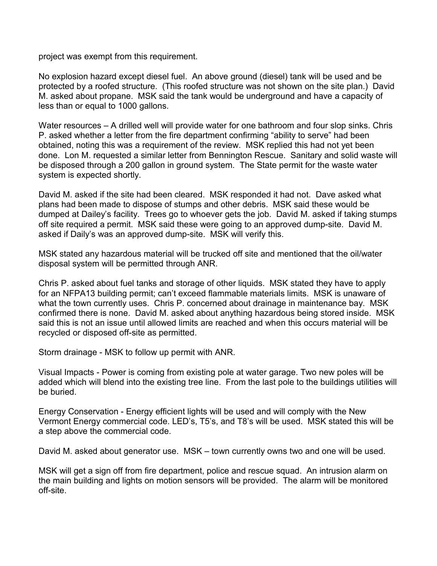project was exempt from this requirement.

No explosion hazard except diesel fuel. An above ground (diesel) tank will be used and be protected by a roofed structure. (This roofed structure was not shown on the site plan.) David M. asked about propane. MSK said the tank would be underground and have a capacity of less than or equal to 1000 gallons.

Water resources – A drilled well will provide water for one bathroom and four slop sinks. Chris P. asked whether a letter from the fire department confirming "ability to serve" had been obtained, noting this was a requirement of the review. MSK replied this had not yet been done. Lon M. requested a similar letter from Bennington Rescue. Sanitary and solid waste will be disposed through a 200 gallon in ground system. The State permit for the waste water system is expected shortly.

David M. asked if the site had been cleared. MSK responded it had not. Dave asked what plans had been made to dispose of stumps and other debris. MSK said these would be dumped at Dailey's facility. Trees go to whoever gets the job. David M. asked if taking stumps off site required a permit. MSK said these were going to an approved dump-site. David M. asked if Daily's was an approved dump-site. MSK will verify this.

MSK stated any hazardous material will be trucked off site and mentioned that the oil/water disposal system will be permitted through ANR.

Chris P. asked about fuel tanks and storage of other liquids. MSK stated they have to apply for an NFPA13 building permit; can't exceed flammable materials limits. MSK is unaware of what the town currently uses. Chris P. concerned about drainage in maintenance bay. MSK confirmed there is none. David M. asked about anything hazardous being stored inside. MSK said this is not an issue until allowed limits are reached and when this occurs material will be recycled or disposed off-site as permitted.

Storm drainage - MSK to follow up permit with ANR.

Visual Impacts - Power is coming from existing pole at water garage. Two new poles will be added which will blend into the existing tree line. From the last pole to the buildings utilities will be buried.

Energy Conservation - Energy efficient lights will be used and will comply with the New Vermont Energy commercial code. LED's, T5's, and T8's will be used. MSK stated this will be a step above the commercial code.

David M. asked about generator use. MSK – town currently owns two and one will be used.

MSK will get a sign off from fire department, police and rescue squad. An intrusion alarm on the main building and lights on motion sensors will be provided. The alarm will be monitored off-site.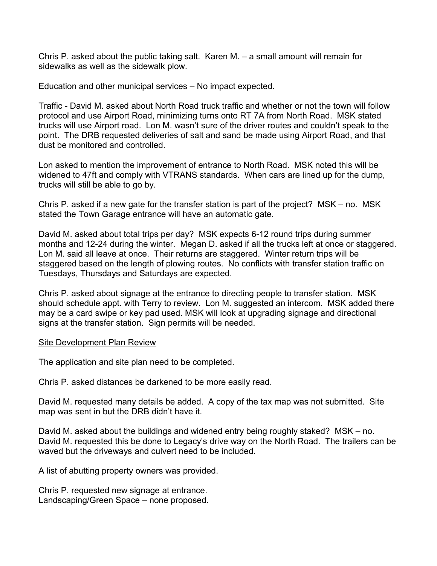Chris P. asked about the public taking salt. Karen M. – a small amount will remain for sidewalks as well as the sidewalk plow.

Education and other municipal services – No impact expected.

Traffic - David M. asked about North Road truck traffic and whether or not the town will follow protocol and use Airport Road, minimizing turns onto RT 7A from North Road. MSK stated trucks will use Airport road. Lon M. wasn't sure of the driver routes and couldn't speak to the point. The DRB requested deliveries of salt and sand be made using Airport Road, and that dust be monitored and controlled.

Lon asked to mention the improvement of entrance to North Road. MSK noted this will be widened to 47ft and comply with VTRANS standards. When cars are lined up for the dump, trucks will still be able to go by.

Chris P. asked if a new gate for the transfer station is part of the project? MSK – no. MSK stated the Town Garage entrance will have an automatic gate.

David M. asked about total trips per day? MSK expects 6-12 round trips during summer months and 12-24 during the winter. Megan D. asked if all the trucks left at once or staggered. Lon M. said all leave at once. Their returns are staggered. Winter return trips will be staggered based on the length of plowing routes. No conflicts with transfer station traffic on Tuesdays, Thursdays and Saturdays are expected.

Chris P. asked about signage at the entrance to directing people to transfer station. MSK should schedule appt. with Terry to review. Lon M. suggested an intercom. MSK added there may be a card swipe or key pad used. MSK will look at upgrading signage and directional signs at the transfer station. Sign permits will be needed.

#### Site Development Plan Review

The application and site plan need to be completed.

Chris P. asked distances be darkened to be more easily read.

David M. requested many details be added. A copy of the tax map was not submitted. Site map was sent in but the DRB didn't have it.

David M. asked about the buildings and widened entry being roughly staked? MSK – no. David M. requested this be done to Legacy's drive way on the North Road. The trailers can be waved but the driveways and culvert need to be included.

A list of abutting property owners was provided.

Chris P. requested new signage at entrance. Landscaping/Green Space – none proposed.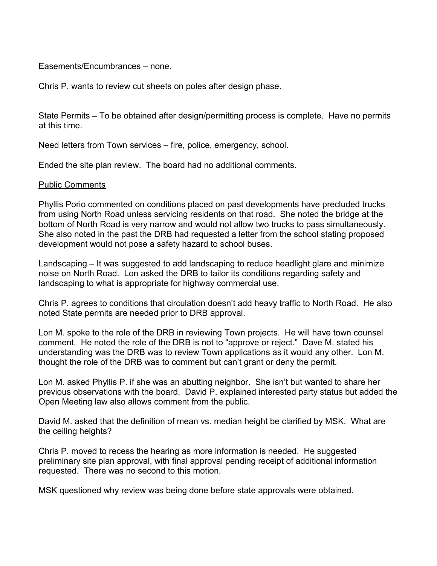#### Easements/Encumbrances – none.

Chris P. wants to review cut sheets on poles after design phase.

State Permits – To be obtained after design/permitting process is complete. Have no permits at this time.

Need letters from Town services – fire, police, emergency, school.

Ended the site plan review. The board had no additional comments.

#### Public Comments

Phyllis Porio commented on conditions placed on past developments have precluded trucks from using North Road unless servicing residents on that road. She noted the bridge at the bottom of North Road is very narrow and would not allow two trucks to pass simultaneously. She also noted in the past the DRB had requested a letter from the school stating proposed development would not pose a safety hazard to school buses.

Landscaping – It was suggested to add landscaping to reduce headlight glare and minimize noise on North Road. Lon asked the DRB to tailor its conditions regarding safety and landscaping to what is appropriate for highway commercial use.

Chris P. agrees to conditions that circulation doesn't add heavy traffic to North Road. He also noted State permits are needed prior to DRB approval.

Lon M. spoke to the role of the DRB in reviewing Town projects. He will have town counsel comment. He noted the role of the DRB is not to "approve or reject." Dave M. stated his understanding was the DRB was to review Town applications as it would any other. Lon M. thought the role of the DRB was to comment but can't grant or deny the permit.

Lon M. asked Phyllis P. if she was an abutting neighbor. She isn't but wanted to share her previous observations with the board. David P. explained interested party status but added the Open Meeting law also allows comment from the public.

David M. asked that the definition of mean vs. median height be clarified by MSK. What are the ceiling heights?

Chris P. moved to recess the hearing as more information is needed. He suggested preliminary site plan approval, with final approval pending receipt of additional information requested. There was no second to this motion.

MSK questioned why review was being done before state approvals were obtained.